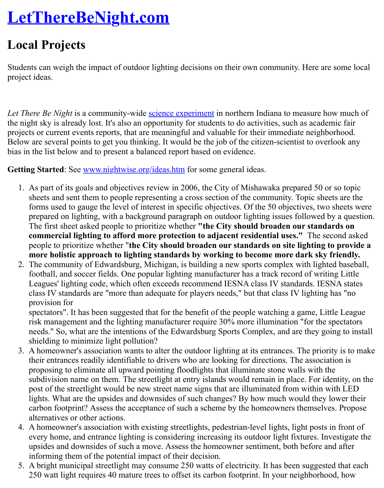Students can weigh the impact of outdoor lighting decisions on their own community. Here are [project ideas.](http://www.lettherebenight.com/index.html)

*Let There Be Night* is a community-wide **science experiment** in northern Indiana to measure h the night sky is already lost. It's also an opportunity for students to do activities, such as academic fairprojects or current events reports, that are meaningful and valuable for their immediate neighborhood. Below are several points to get you thinking. It would be the job of the citizen-scientist to over bias in the list below and to present a balanced report based on evidence.

Getting Started: See www.nightwise.org/ideas.htm for some general ideas.

- 1. As part of its goals and objectives [review in 2006, the](http://www.lettherebenight.com/sci-method.doc) City of Mishawaka prepared 50 or sheets and sent them to people representing a cross section of the community. Topic she forms used to gauge the level of interest in specific objectives. Of the 50 objectives, two prepared on lighting, with a background paragraph on outdoor lighting issues followed The first sheet asked people to prioritize whether "the City should broaden our stand **commercial lig[hting to afford more protecti](http://www.nightwise.org/ideas.htm)on to adjacent residential uses."** The second as people to prioritize whether "the City should broaden our standards on site lighting more holistic approach to lighting standards by working to become more dark sky
- 2. The community of Edwardsburg, Michigan, is building a new sports complex with lighted bases of Edwardsburg, Michigan, is building a new sports complex with lighted bases football, and soccer fields. One popular lighting manufacturer has a track record of writing  $\alpha$ Leagues' lighting code, which often exceeds recommend IESNA class IV standards. IES class IV standards are "more than adequate for players needs," but that class IV lighting provision for

spectators". It has been suggested that for the benefit of the people watching a game, Li risk management and the lighting manufacturer require 30% more illumination "for the needs." So, what are the intentions of the Edwardsburg Sports Complex, and are they g shielding to minimize light pollution?

- 3. A homeowner's association wants to alter the outdoor lighting at its entrances. The priority is the mate. their entrances readily identifiable to drivers who are looking for directions. The associ proposing to eliminate all upward pointing floodlights that illuminate stone walls with the subdivision name on them. The streetlight at entry islands would remain in place. For identity, on the street post of the streetlight would be new street name signs that are illuminated from within lights. What are the upsides and downsides of such changes? By how much would they carbon footprint? Assess the acceptance of such a scheme by the homeowners themselves. alternatives or other actions.
- 4. A homeowner's association with existing streetlights, pedestrian-level lights, light posts every home, and entrance lighting is considering increasing its outdoor light fixtures. In upsides and downsides of such a move. Assess the homeowner sentiment, both before and after a  $\frac{1}{\sqrt{2}}$ informing them of the potential impact of their decision.
- 5. A bright municipal streetlight may consume 250 watts of electricity. It has been suggest 250 watt light requires 40 mature trees to offset its carbon footprint. In your neighborho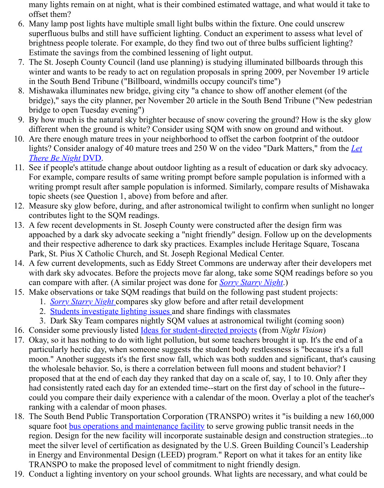- winter and wants to be ready to act on regulation proposals in spring 2009, per November in the South Bend Tribune ("Billboard, windmills occupy council's time")
- 8. Mishawaka illuminates new bridge, giving city "a chance to show off another element ( bridge)," says the city planner, per November 20 article in the South Bend Tribune ("New bridge to open Tuesday evening")
- 9. By how much is the natural sky brighter because of snow covering the ground? How is different when the ground is white? Consider using SQM with snow on ground and with
- 10. Are there enough mature trees in your neighborhood to offset the carbon footprint of the lights? Consider analogy of 40 mature trees and 250 W on the video "Dark Matters," from *There Be Night* DVD.
- 11. See if people's attitude change about outdoor lighting as a result of education or dark sk For example, compare results of same writing prompt before sample population is informed with a with a with a with a with a with a with a with a with a with a with a with a with a with a with a with a with a with a with a writing prompt result after sample population is informed. Similarly, compare results of topic sheets (see Question 1, above) from before and after.
- 12. Measure sky glow before, during, and after astronomical twilight to confirm when sunl contributes light to the SQM readings.
- 13. A few recent developments in St. Joseph County were constructed after the design firm appoached by a dark sky advocate seeking a "night friendly" design. Follow up on the d and their respective adherence to dark sky practices. Examples include Heritage Square Park, St. Pius X Catholic Church, and St. Joseph Regional Medical Center.
- 14. A few current developments, such as Eddy Street Commons are underway after their de with dark sky advocates. Before the projects move far along, take some SQM readings can compare with after. (A similar project was done for *Sorry Starry Night*.)
- 15. Make observations or take SQM readings that build on the following past student proje
	- 1. *Sorry Starry Night* compares sky glow before and after retail development
	- 2. Students investigate lighting issues and share findings with classmates
	- 3. Dark Sky Team compares nightly SQM values at astronomical twilight (coming solution)
- 16. Consider some previously listed Ideas for student-directed projects (from *Night Vision*)
- 17. Okay, so it has nothing to do with light pollution, but some teachers brought it up. It's the particularly hectic day, when someone suggests the stu[dent body restlessne](http://www.nightwise.org/sorry.htm)ss is "because moon." Another suggests it's the first snow fall, which was both sudden and significant the w[holesale behavior. So](http://www.nightwise.org/sorry.htm), is there a correlation between full moons and student behavior. propo[sed that at the end of each day they r](http://www.nightwise.org/gsms.htm)anked that day on a scale of, say, 1 to 10. On had consistently rated each day for an extended time--start on the first day of school in could you compare their daily e[xperience with a calendar of the mo](http://www.nightwise.org/ideas.htm)on. Overlay a plot of ranking with a calendar of moon phases.
- 18. The South Bend Public Transportation Corporation (TRANSPO) writes it "is building a square foot bus operations and maintenance facility to serve growing public transit need region. Design for the new facility will incorporate sustainable design and construction meet the silver level of certification as designated by the U.S. Green Building Council's in Energy and Environmental Design (LEED) program." Report on what it takes for an TRANSPO to make the proposed level of commitment to night friendly design.
- 19. Conduct a lighting inventory on your school grounds. What lights are necessary, and w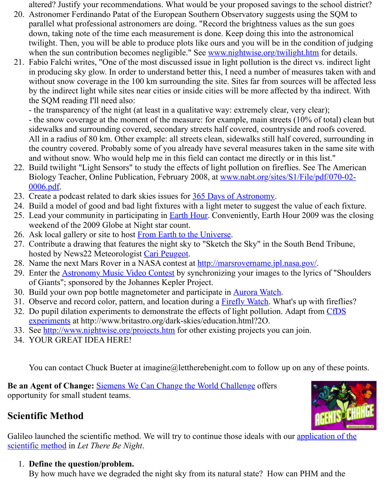in producing sky glow. In order to understand better this, I need a number of measures without snow coverage in the 100 km surrounding the site. Sites far from sources will be affected with a  $\frac{1}{10}$ by the indirect light while sites near cities or inside cities will be more affected by tha in the SQM reading I'll need also:

- the transparency of the night (at least in a qualitative way: extremely clear, very clear); - the snow coverage at the moment of the measure: for example, main streets  $(10\% \text{ of t})$ sidewalks and surrounding covered, secondary streets half covered, countryside and roots All in a radius of 80 km. Other example: all streets clean, sidewalks still half covered, s the country covered. Probably some of you already have several measures taken in the and without snow. Who would help me in this field can contact me directly or in this list.

- 22. Build twilight "Light Sensors" to study the effects of light pollution on fireflies. See Th Biology Teacher, Online Publication, February 2008, at www.nabt.org/sites/S1/File/pdf 0006.pdf.
- 23. Create a podcast related to dark skies issues for 365 Days of Astronomy.
- 24. Build a model of good and bad light fixtures with a light meter to suggest the value of  $\epsilon$
- 25. Lead your community in participating in **Earth Hour.** Conveniently, Earth Hour 2009 w weekend of the 2009 Globe at Night star count.
- 26. Ask local gallery or site to host From Earth to the Universe.
- 27. Contribute a drawing that features the night sky to "Sketch the Sky" in the South Bend hosted by News22 Meteorologist Cari Peugeot.
- 28. Name the next Mars Rover in a NASA contest [at http://marsrovername.j](http://365daysofastronomy.org/join-in/)pl.nasa.gov/.
- 29. Enter the **Astronomy Music Video Contest** by synchronizing your images to the lyrics of of Giants"; sponsored by the Johannes K[epler Projec](http://earthhourus.org/)t.
- 30. Build your own pop bottle magnetometer and participate in Aurora Watch.
- 31. Observe and record color, patte[rn, and location during a Fir](http://www.fromearthtotheuniverse.org/index.php)efly Watch. What's up with
- 32. Do pupil dilation experiments to demonstrate the effects of light pollution. Adapt from experiments at http://www.britast[ro.org/dark-sk](mailto:peugeot@wsbt.com)ies/education.html?2O.
- 33. See http://www.nightwise.org/projects.htm for ot[her existing projects you can join.](http://marsrovername.jpl.nasa.gov/)
- 34. YOUR G[REAT IDEA HERE!](http://johanneskepler.ihoststudio.com/)

You can contact Chuck Bueter at imagine@lettherebeni[ght.com to foll](https://www.mos.org/fireflywatch/about_firefly_watch)ow up on any of

**Be an Agent of Change:** [Siemens We Can Change the World Challenge offers](http://www.britastro.org/dark-skies/education.html?2O) opportunit[y for small student teams.](http://www.nightwise.org/projects.htm)

# **Scientific Method**

Galileo launched the scientific method. We will try to continue those ideals with our application scientific method in *Let T[here Be Night](http://www.wecanchange.com/)*.

## 1. **Define the question/problem.**

By how much have we degraded the night sky from its natural state? How can PHM and the the the night sky from its natural state? How can PHM and the the state of the the the state of the the state of the state of the state